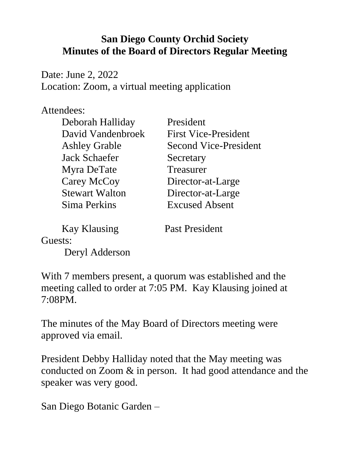## **San Diego County Orchid Society Minutes of the Board of Directors Regular Meeting**

Date: June 2, 2022 Location: Zoom, a virtual meeting application

## Attendees:

| Deborah Halliday      | President                    |
|-----------------------|------------------------------|
| David Vandenbroek     | <b>First Vice-President</b>  |
| <b>Ashley Grable</b>  | <b>Second Vice-President</b> |
| <b>Jack Schaefer</b>  | Secretary                    |
| Myra DeTate           | Treasurer                    |
| Carey McCoy           | Director-at-Large            |
| <b>Stewart Walton</b> | Director-at-Large            |
| Sima Perkins          | <b>Excused Absent</b>        |
|                       |                              |

Kay Klausing Past President

Guests:

Deryl Adderson

With 7 members present, a quorum was established and the meeting called to order at 7:05 PM. Kay Klausing joined at 7:08PM.

The minutes of the May Board of Directors meeting were approved via email.

President Debby Halliday noted that the May meeting was conducted on Zoom & in person. It had good attendance and the speaker was very good.

San Diego Botanic Garden –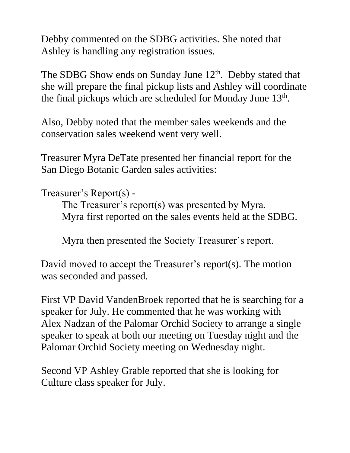Debby commented on the SDBG activities. She noted that Ashley is handling any registration issues.

The SDBG Show ends on Sunday June  $12<sup>th</sup>$ . Debby stated that she will prepare the final pickup lists and Ashley will coordinate the final pickups which are scheduled for Monday June  $13<sup>th</sup>$ .

Also, Debby noted that the member sales weekends and the conservation sales weekend went very well.

Treasurer Myra DeTate presented her financial report for the San Diego Botanic Garden sales activities:

Treasurer's Report(s) -

The Treasurer's report(s) was presented by Myra. Myra first reported on the sales events held at the SDBG.

Myra then presented the Society Treasurer's report.

David moved to accept the Treasurer's report(s). The motion was seconded and passed.

First VP David VandenBroek reported that he is searching for a speaker for July. He commented that he was working with Alex Nadzan of the Palomar Orchid Society to arrange a single speaker to speak at both our meeting on Tuesday night and the Palomar Orchid Society meeting on Wednesday night.

Second VP Ashley Grable reported that she is looking for Culture class speaker for July.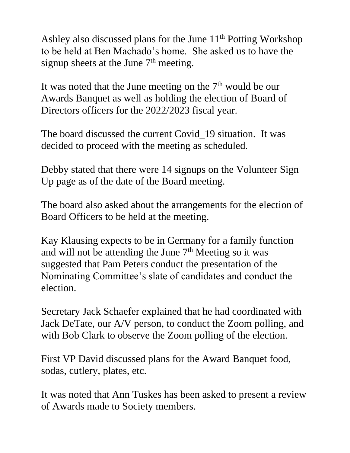Ashley also discussed plans for the June  $11<sup>th</sup>$  Potting Workshop to be held at Ben Machado's home. She asked us to have the signup sheets at the June  $7<sup>th</sup>$  meeting.

It was noted that the June meeting on the 7<sup>th</sup> would be our Awards Banquet as well as holding the election of Board of Directors officers for the 2022/2023 fiscal year.

The board discussed the current Covid\_19 situation. It was decided to proceed with the meeting as scheduled.

Debby stated that there were 14 signups on the Volunteer Sign Up page as of the date of the Board meeting.

The board also asked about the arrangements for the election of Board Officers to be held at the meeting.

Kay Klausing expects to be in Germany for a family function and will not be attending the June 7<sup>th</sup> Meeting so it was suggested that Pam Peters conduct the presentation of the Nominating Committee's slate of candidates and conduct the election.

Secretary Jack Schaefer explained that he had coordinated with Jack DeTate, our A/V person, to conduct the Zoom polling, and with Bob Clark to observe the Zoom polling of the election.

First VP David discussed plans for the Award Banquet food, sodas, cutlery, plates, etc.

It was noted that Ann Tuskes has been asked to present a review of Awards made to Society members.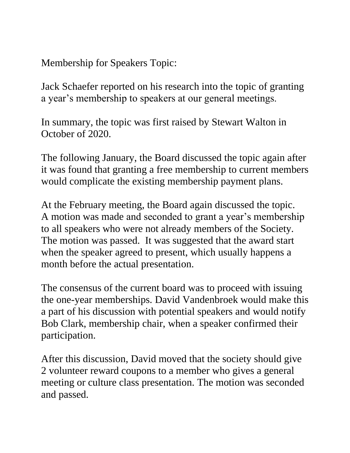Membership for Speakers Topic:

Jack Schaefer reported on his research into the topic of granting a year's membership to speakers at our general meetings.

In summary, the topic was first raised by Stewart Walton in October of 2020.

The following January, the Board discussed the topic again after it was found that granting a free membership to current members would complicate the existing membership payment plans.

At the February meeting, the Board again discussed the topic. A motion was made and seconded to grant a year's membership to all speakers who were not already members of the Society. The motion was passed. It was suggested that the award start when the speaker agreed to present, which usually happens a month before the actual presentation.

The consensus of the current board was to proceed with issuing the one-year memberships. David Vandenbroek would make this a part of his discussion with potential speakers and would notify Bob Clark, membership chair, when a speaker confirmed their participation.

After this discussion, David moved that the society should give 2 volunteer reward coupons to a member who gives a general meeting or culture class presentation. The motion was seconded and passed.